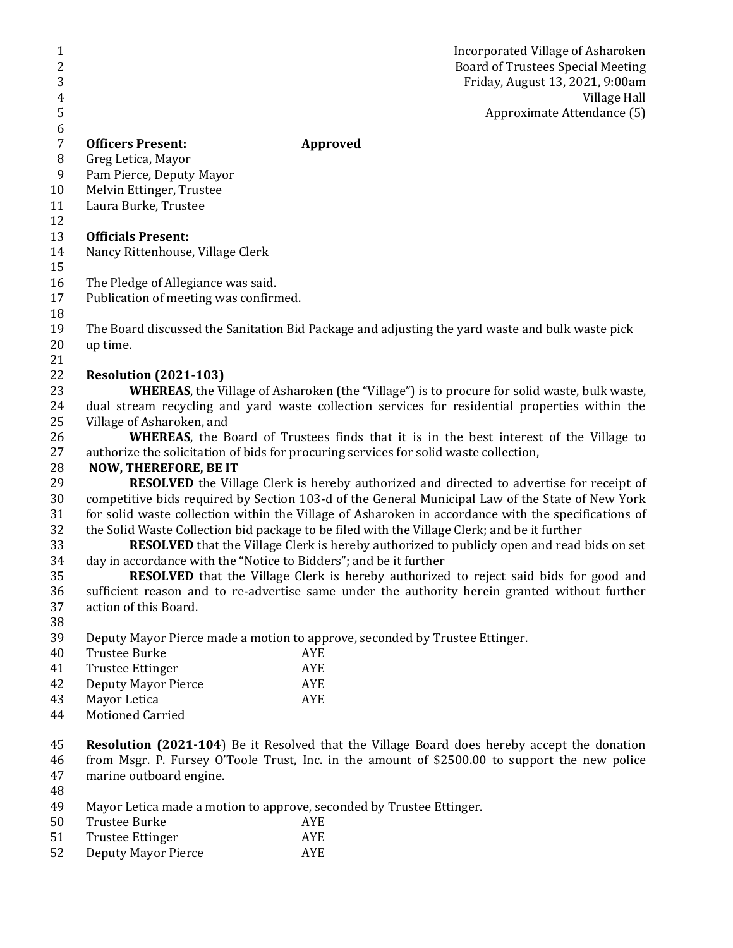Incorporated Village of Asharoken Board of Trustees Special Meeting 3 Friday, August 13, 2021, 9:00am 4 Village Hall Approximate Attendance (5)

## **Officers Present: Approved**

- Greg Letica, Mayor
- Pam Pierce, Deputy Mayor
- Melvin Ettinger, Trustee
- Laura Burke, Trustee
- 

- **Officials Present:**
- Nancy Rittenhouse, Village Clerk
- 
- The Pledge of Allegiance was said.
- Publication of meeting was confirmed.
- The Board discussed the Sanitation Bid Package and adjusting the yard waste and bulk waste pick up time.
- 

## **Resolution (2021-103)**

 **WHEREAS**, the Village of Asharoken (the "Village") is to procure for solid waste, bulk waste, dual stream recycling and yard waste collection services for residential properties within the Village of Asharoken, and

 **WHEREAS**, the Board of Trustees finds that it is in the best interest of the Village to authorize the solicitation of bids for procuring services for solid waste collection,

## **NOW, THEREFORE, BE IT**

 **RESOLVED** the Village Clerk is hereby authorized and directed to advertise for receipt of competitive bids required by Section 103-d of the General Municipal Law of the State of New York for solid waste collection within the Village of Asharoken in accordance with the specifications of the Solid Waste Collection bid package to be filed with the Village Clerk; and be it further

 **RESOLVED** that the Village Clerk is hereby authorized to publicly open and read bids on set day in accordance with the "Notice to Bidders"; and be it further

**RESOLVED** that the Village Clerk is hereby authorized to reject said bids for good and sufficient reason and to re-advertise same under the authority herein granted without further action of this Board.

Deputy Mayor Pierce made a motion to approve, seconded by Trustee Ettinger.

| 40 | Trustee Burke       | <b>AYE</b> |
|----|---------------------|------------|
| 41 | Trustee Ettinger    | <b>AYE</b> |
| 42 | Deputy Mayor Pierce | <b>AYE</b> |

- Mayor Letica AYE
- Motioned Carried

 **Resolution (2021-104**) Be it Resolved that the Village Board does hereby accept the donation from Msgr. P. Fursey O'Toole Trust, Inc. in the amount of \$2500.00 to support the new police marine outboard engine.

- 
- Mayor Letica made a motion to approve, seconded by Trustee Ettinger.
- Trustee Burke AYE
- Trustee Ettinger AYE
- Deputy Mayor Pierce AYE